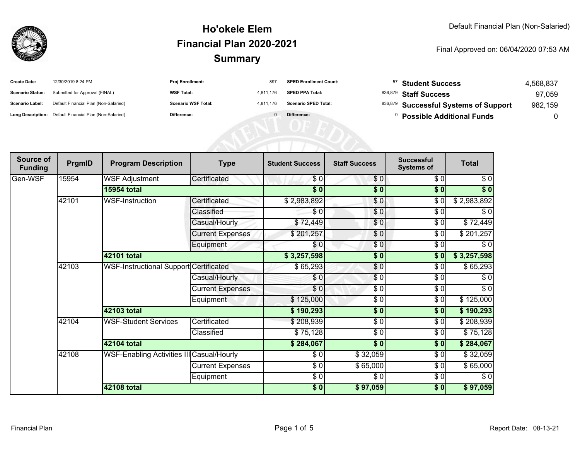

| <b>Create Date:</b>     | 12/30/2019 8:24 PM                                      | Proj Enrollment:           | 897       | <b>SPED Enrollment Count:</b> | 57 | <b>Student Success</b>                 | 4,568,837 |
|-------------------------|---------------------------------------------------------|----------------------------|-----------|-------------------------------|----|----------------------------------------|-----------|
| <b>Scenario Status:</b> | Submitted for Approval (FINAL)                          | <b>WSF Total:</b>          | 4,811,176 | <b>SPED PPA Total:</b>        |    | 836,879 Staff Success                  | 97,059    |
| <b>Scenario Label:</b>  | Default Financial Plan (Non-Salaried)                   | <b>Scenario WSF Total:</b> | 4.811.176 | <b>Scenario SPED Total:</b>   |    | 836,879 Successful Systems of Support  | 982,159   |
|                         | Long Description: Default Financial Plan (Non-Salaried) | Difference:                |           | Difference:                   |    | <sup>0</sup> Possible Additional Funds |           |
|                         |                                                         |                            |           |                               |    |                                        |           |
|                         |                                                         |                            |           |                               |    |                                        |           |
|                         |                                                         |                            |           |                               |    |                                        |           |

| Source of<br><b>Funding</b> | PrgmID | <b>Program Description</b>                    | <b>Type</b>                 | <b>Student Success</b> | <b>Staff Success</b> | <b>Successful</b><br><b>Systems of</b> | <b>Total</b> |           |
|-----------------------------|--------|-----------------------------------------------|-----------------------------|------------------------|----------------------|----------------------------------------|--------------|-----------|
| Gen-WSF                     | 15954  | <b>WSF Adjustment</b>                         | Certificated                | \$0                    | \$0                  | \$0                                    | \$0          |           |
|                             |        | <b>15954 total</b>                            |                             | $\overline{\bullet}$   | $\sqrt{6}$           | \$0                                    | $\sqrt[6]{}$ |           |
|                             | 42101  | <b>WSF-Instruction</b>                        | Certificated                | \$2,983,892            | \$0                  | $\sqrt{6}$                             | \$2,983,892  |           |
|                             |        |                                               | Classified                  | \$0                    | \$0                  | \$0                                    | \$0          |           |
|                             |        |                                               | Casual/Hourly               | \$72,449               | \$0                  | \$0                                    | \$72,449     |           |
|                             |        |                                               | <b>Current Expenses</b>     | \$201,257              | $\frac{6}{6}$        | \$0                                    | \$201,257    |           |
|                             |        |                                               | Equipment                   | \$0                    | \$0                  | \$0                                    | \$0          |           |
|                             |        | 42101 total                                   |                             | \$3,257,598            | \$0                  | \$0                                    | \$3,257,598  |           |
|                             | 42103  | <b>WSF-Instructional Support Certificated</b> |                             | \$65,293               | \$0                  | \$0                                    | \$65,293     |           |
|                             |        |                                               | Casual/Hourly               | \$0                    | \$0                  | $\frac{6}{6}$                          | $\sqrt{6}$   |           |
|                             |        |                                               | <b>Current Expenses</b>     | \$0                    | \$0                  | \$0                                    | $\sqrt{6}$   |           |
|                             |        |                                               | Equipment                   | \$125,000              | \$0                  | \$0                                    | \$125,000    |           |
|                             |        | 42103 total                                   |                             | \$190,293              | \$0                  | \$0                                    | \$190,293    |           |
|                             | 42104  |                                               | <b>WSF-Student Services</b> | Certificated           | \$208,939            | $\sqrt{6}$                             | \$0          | \$208,939 |
|                             |        |                                               | Classified                  | \$75,128               | \$0                  | \$0                                    | \$75,128     |           |
|                             |        | 42104 total                                   |                             | \$284,067              | $\sqrt{6}$           | \$0                                    | \$284,067    |           |
|                             | 42108  | WSF-Enabling Activities III Casual/Hourly     |                             | \$0                    | \$32,059             | \$0                                    | \$32,059     |           |
|                             |        |                                               | <b>Current Expenses</b>     | \$0                    | \$65,000             | \$0                                    | \$65,000     |           |
|                             |        |                                               | Equipment                   | $\frac{3}{2}$          | \$0                  | \$0                                    | \$0          |           |
|                             |        | 42108 total                                   |                             | \$0]                   | \$97,059             | \$0                                    | \$97,059     |           |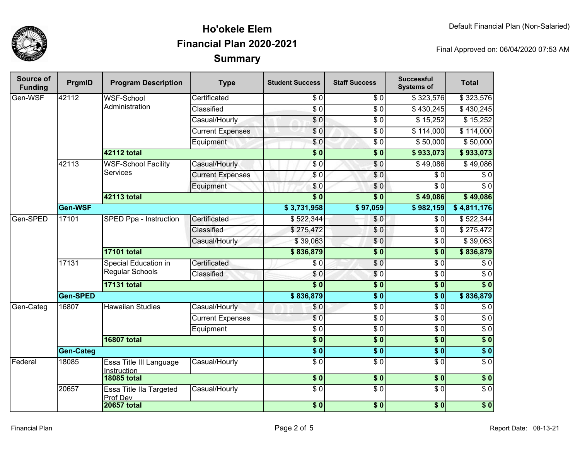

| Source of<br><b>Funding</b> | PrgmID           | <b>Program Description</b>                     | <b>Type</b>             | <b>Student Success</b> | <b>Staff Success</b>   | <b>Successful</b><br><b>Systems of</b> | <b>Total</b>     |
|-----------------------------|------------------|------------------------------------------------|-------------------------|------------------------|------------------------|----------------------------------------|------------------|
| Gen-WSF                     | 42112            | <b>WSF-School</b>                              | Certificated            | $\sqrt{6}$             | $\sqrt{6}$             | \$323,576                              | \$323,576        |
|                             |                  | Administration                                 | Classified              | $\overline{S}0$        | $\overline{\$0}$       | \$430,245                              | \$430,245        |
|                             |                  |                                                | Casual/Hourly           | $\overline{\$0}$       | $\overline{60}$        | \$15,252                               | \$15,252         |
|                             |                  |                                                | <b>Current Expenses</b> | $\overline{\$0}$       | $\overline{60}$        | \$114,000                              | \$114,000        |
|                             |                  |                                                | Equipment               | \$0                    | $\overline{\$0}$       | \$50,000                               | \$50,000         |
|                             |                  | <b>42112 total</b>                             |                         | $\overline{\$0}$       | $\overline{\$0}$       | \$933,073                              | \$933,073        |
|                             | 42113            | <b>WSF-School Facility</b>                     | Casual/Hourly           | $\overline{30}$        | $\sqrt{0}$             | \$49,086                               | \$49,086         |
|                             |                  | <b>Services</b>                                | <b>Current Expenses</b> | \$0                    | $\sqrt{0}$             | $\sqrt{6}$                             | $\overline{60}$  |
|                             |                  |                                                | Equipment               | \$0                    | \$0                    | $\overline{30}$                        | $\overline{\$0}$ |
|                             |                  | <b>42113 total</b>                             |                         | $\overline{\$0}$       | $\overline{\bullet}$ 0 | \$49,086                               | \$49,086         |
|                             | Gen-WSF          |                                                |                         | \$3,731,958            | \$97,059               | \$982,159                              | \$4,811,176      |
| Gen-SPED                    | 17101            | <b>SPED Ppa - Instruction</b>                  | Certificated            | \$522,344              | \$0                    | $\sqrt{6}$                             | \$522,344        |
|                             |                  |                                                | Classified              | \$275,472              | $\sqrt{0}$             | $\overline{30}$                        | \$275,472        |
|                             |                  |                                                | Casual/Hourly           | \$39,063               | $\overline{\$0}$       | $\overline{S}0$                        | \$39,063         |
|                             |                  | <b>17101 total</b>                             |                         | \$836,879              | $\overline{\$0}$       | \$0                                    | \$836,879        |
|                             | 17131            | Special Education in<br><b>Regular Schools</b> | Certificated            | $\overline{30}$        | $\overline{\$0}$       | $\overline{30}$                        | $\overline{\$0}$ |
|                             |                  |                                                | Classified              | \$0                    | \$0                    | $\sqrt{6}$                             | $\sqrt{6}$       |
|                             |                  | <b>17131 total</b>                             |                         | $\overline{\$0}$       | $\overline{\$0}$       | $\overline{\$0}$                       | $\overline{\$0}$ |
|                             | Gen-SPED         |                                                |                         | \$836,879              | $\overline{\$0}$       | $\overline{\bullet}$ 0                 | \$836,879        |
| Gen-Categ                   | 16807            | <b>Hawaiian Studies</b>                        | Casual/Hourly           | \$0                    | $\overline{\$0}$       | $\overline{30}$                        | $\overline{\$0}$ |
|                             |                  |                                                | <b>Current Expenses</b> | $\overline{\$0}$       | $\sqrt{6}$             | $\sqrt{6}$                             | $\overline{\$0}$ |
|                             |                  |                                                | Equipment               | $\sqrt{6}$             | $\overline{\$0}$       | $\overline{\$0}$                       | $\overline{\$0}$ |
|                             |                  | <b>16807 total</b>                             |                         | $\overline{\$0}$       | $\overline{\$0}$       | $\overline{\$0}$                       | $\overline{\$0}$ |
|                             | <b>Gen-Categ</b> |                                                |                         | $\overline{\$0}$       | $\overline{\$0}$       | $\overline{\$0}$                       | $\overline{\$0}$ |
| Federal                     | 18085            | Essa Title III Language<br>Instruction         | Casual/Hourly           | $\overline{50}$        | $\overline{\$0}$       | $\overline{30}$                        | $\overline{\$0}$ |
|                             |                  | <b>18085 total</b>                             |                         | $\overline{\$0}$       | \$0                    | 30                                     | $\overline{\$0}$ |
|                             | 20657            | Essa Title IIa Targeted<br>Prof Dev            | Casual/Hourly           | $\overline{\$0}$       | $\overline{\$0}$       | $\overline{\$0}$                       | $\overline{\$0}$ |
|                             |                  | <b>20657 total</b>                             |                         | $\overline{\$0}$       | $\overline{\$0}$       | $\overline{\$0}$                       | $\overline{\$0}$ |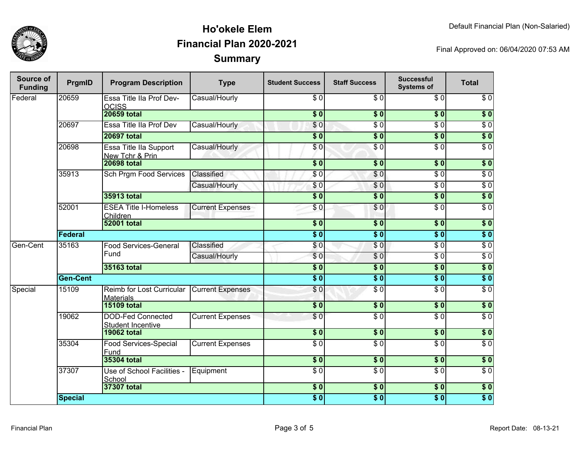

| Source of<br><b>Funding</b> | PrgmID          | <b>Program Description</b>                           | <b>Type</b>             | <b>Student Success</b> | <b>Staff Success</b>       | <b>Successful</b><br><b>Systems of</b> | <b>Total</b>     |
|-----------------------------|-----------------|------------------------------------------------------|-------------------------|------------------------|----------------------------|----------------------------------------|------------------|
| Federal                     | 20659           | Essa Title IIa Prof Dev-<br><b>OCISS</b>             | Casual/Hourly           | \$0                    | \$0                        | \$0                                    | $\sqrt{6}$       |
|                             |                 | <b>20659 total</b>                                   |                         | \$0]                   | \$0                        | $\overline{\$0}$                       | $\overline{\$0}$ |
|                             | 20697           | Essa Title IIa Prof Dev                              | Casual/Hourly           | \$0                    | \$ 0                       | $\overline{\$0}$                       | $\overline{\$0}$ |
|                             |                 | <b>20697 total</b>                                   |                         | $\overline{\$0}$       | $\overline{\phantom{0}30}$ | $\overline{\$0}$                       | $\overline{\$0}$ |
|                             | 20698           | Essa Title IIa Support<br>New Tchr & Prin            | Casual/Hourly           | $\overline{\$0}$       | \$ 0                       | $\overline{\$0}$                       | $\overline{\$0}$ |
|                             |                 | <b>20698 total</b>                                   |                         | $\overline{\$0}$       | \$0                        | $\sqrt{6}$                             | $\overline{\$0}$ |
|                             | 35913           | <b>Sch Prgm Food Services</b>                        | Classified              | \$0                    | $\overline{S}0$            | $\overline{S}0$                        | $\overline{\$0}$ |
|                             |                 |                                                      | Casual/Hourly           | \$0                    | \$0                        | $\sqrt{6}$                             | $\overline{60}$  |
|                             |                 | 35913 total                                          |                         | \$0                    | $\overline{\$0}$           | \$0                                    | \$0              |
|                             | 52001           | <b>ESEA Title I-Homeless</b><br>Children             | <b>Current Expenses</b> | \$0                    | \$0                        | $\sqrt{6}$                             | $\sqrt{6}$       |
|                             |                 | <b>52001 total</b>                                   |                         | $\overline{\$0}$       | $\sqrt{6}$                 | s <sub>0</sub>                         | $\overline{\$0}$ |
|                             | Federal         |                                                      |                         | $\overline{\$0}$       | $\overline{\$0}$           | $\overline{\$0}$                       | $\overline{\$0}$ |
| Gen-Cent                    | 35163           | <b>Food Services-General</b>                         | Classified              | \$0                    | \$0                        | $\overline{S}0$                        | \$0              |
|                             |                 | Fund                                                 | Casual/Hourly           | \$0                    | $\overline{\$0}$           | $\overline{\$0}$                       | \$0              |
|                             |                 | 35163 total                                          |                         | $\overline{\$0}$       | $\overline{\$0}$           | $\overline{\$0}$                       | $\overline{\$0}$ |
|                             | <b>Gen-Cent</b> |                                                      |                         | $\overline{\$0}$       | $\overline{\$0}$           | s <sub>0</sub>                         | $\overline{\$0}$ |
| Special                     | 15109           | Reimb for Lost Curricular<br><b>Materials</b>        | <b>Current Expenses</b> | \$0                    | $\sqrt{6}$                 | $\overline{S}0$                        | $\overline{\$0}$ |
|                             |                 | <b>15109 total</b>                                   |                         | \$0                    | \$0                        | \$0                                    | \$0              |
|                             | 19062           | <b>DOD-Fed Connected</b><br><b>Student Incentive</b> | <b>Current Expenses</b> | \$0                    | $\overline{\frac{6}{9}}$   | $\overline{\$0}$                       | $\overline{\$0}$ |
|                             |                 | <b>19062 total</b>                                   |                         | \$0                    | $\overline{\$0}$           | \$0                                    | \$0              |
|                             | 35304           | Food Services-Special<br>Fund                        | <b>Current Expenses</b> | $\overline{\$0}$       | $\overline{S}0$            | $\overline{\$0}$                       | $\sqrt{6}$       |
|                             |                 | <b>35304 total</b>                                   |                         | $\sqrt{6}$             | $\overline{\$0}$           | s <sub>0</sub>                         | $\overline{\$0}$ |
|                             | 37307           | Use of School Facilities -<br>School                 | Equipment               | $\overline{\$0}$       | $\overline{50}$            | $\overline{\$0}$                       | $\overline{\$0}$ |
|                             |                 | 37307 total                                          |                         | $\overline{\$0}$       | $\overline{\$0}$           | $\overline{\$0}$                       | $\overline{\$0}$ |
|                             | <b>Special</b>  |                                                      |                         | $\overline{\$0}$       | $\overline{\$0}$           | $\overline{\$0}$                       | $\overline{\$0}$ |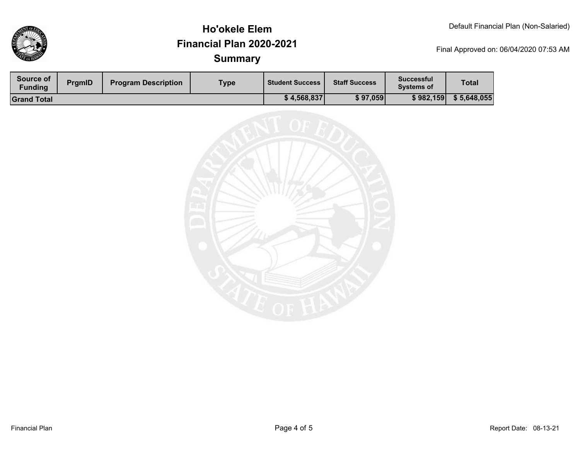

| Source of<br>Funding | PrgmID | <b>Program Description</b> | Type | <b>Student Success</b> | <b>Staff Success</b> | <b>Successful</b><br><b>Systems of</b> | <b>Total</b> |
|----------------------|--------|----------------------------|------|------------------------|----------------------|----------------------------------------|--------------|
| <b>Grand Total</b>   |        |                            |      | \$4,568,837            | \$97,059             | \$982,159                              | \$5,648,055  |